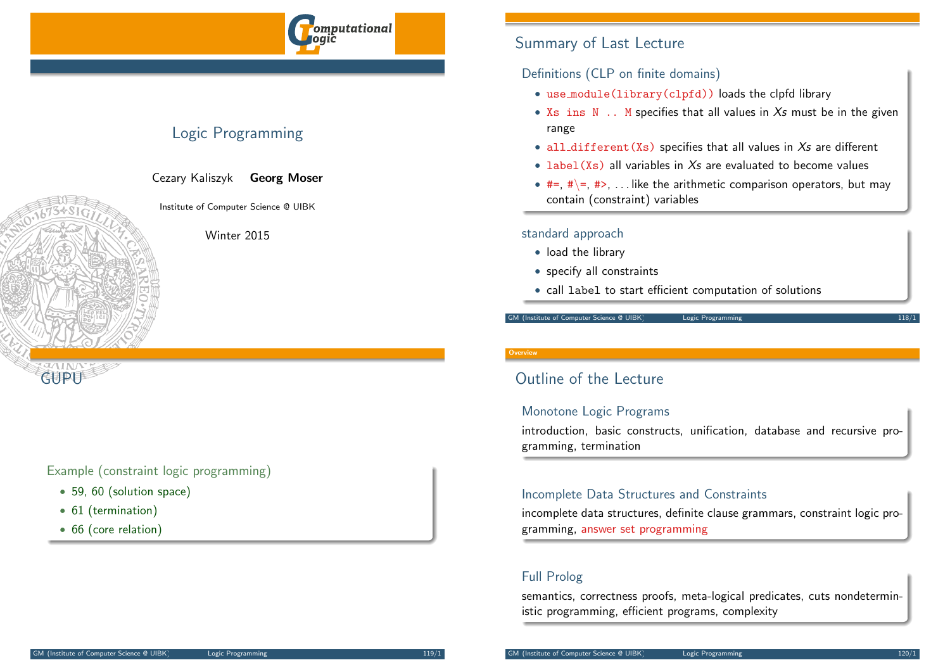

# Logic Programming

Cezary Kaliszyk Georg Moser

Institute of Computer Science @ UIBK

Winter 2015

## Example (constraint logic programming)

- 59, 60 (solution space)
- 61 (termination)

**GUPU** 

• 66 (core relation)

# Summary of Last Lecture

## Definitions (CLP on finite domains)

- use module(library(clpfd)) loads the clpfd library
- $Xs$  ins  $N$  .. M specifies that all values in  $Xs$  must be in the given range
- all\_different(Xs) specifies that all values in  $Xs$  are different
- $\bullet$  label  $(Xs)$  all variables in  $Xs$  are evaluated to become values
- $#=$ ,  $# \equiv$ ,  $# \gt$ , ... like the arithmetic comparison operators, but may contain (constraint) variables

### standard approach

- load the library
- specify all constraints
- call label to start efficient computation of solutions

#### GM (Institute of Computer Science @ UIBK) Logic Programming

#### **Overvie**

# Outline of the Lecture

## Monotone Logic Programs

introduction, basic constructs, unification, database and recursive programming, termination

## Incomplete Data Structures and Constraints

incomplete data structures, definite clause grammars, constraint logic programming, answer set programming

## Full Prolog

semantics, correctness proofs, meta-logical predicates, cuts nondeterministic programming, efficient programs, complexity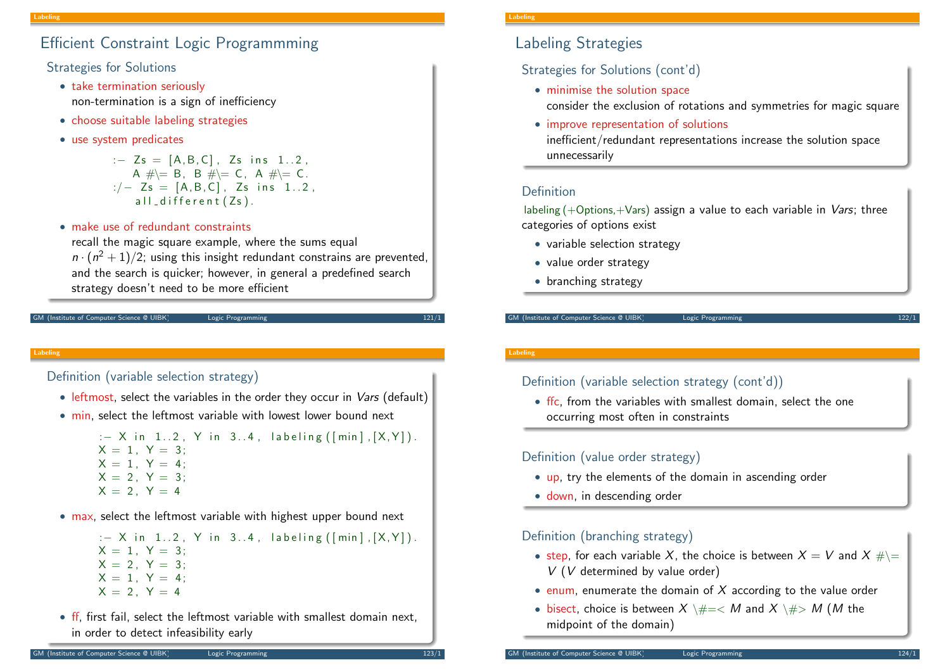# Efficient Constraint Logic Programmming

Strategies for Solutions

- take termination seriously non-termination is a sign of inefficiency
- choose suitable labeling strategies
- use system predicates

: $-$  Zs = [A, B, C], Zs ins 1..2, A  $\#$   $\models$  B, B  $\#$   $\models$  C, A  $\#$   $\models$  C.  $:/-$  Zs = [A, B, C], Zs ins 1..2,  $all$  different  $(Zs)$ .

• make use of redundant constraints

recall the magic square example, where the sums equal  $n \cdot (n^2 + 1)/2$ ; using this insight redundant constrains are prevented, and the search is quicker; however, in general a predefined search strategy doesn't need to be more efficient

```
(Institute of Computer Science @ UIBK) Logic Programm
```
#### Labeling

Definition (variable selection strategy)

- leftmost, select the variables in the order they occur in *Vars* (default)
- min, select the leftmost variable with lowest lower bound next

:  $-$  X in 1..2, Y in 3..4, labeling ( $[min]$ ,  $[X,Y]$ ).  $X = 1$ ,  $Y = 3$ ;  $X = 1$ ,  $Y = 4$ ;  $X = 2, Y = 3;$  $X = 2, Y = 4$ 

• max, select the leftmost variable with highest upper bound next

:  $-$  X in 1..2, Y in 3..4, labeling ( $[\min]$ ,  $[X, Y]$ ).  $X = 1$ ,  $Y = 3$ ;  $X = 2$ ,  $Y = 3$ ;  $X = 1$ ,  $Y = 4$ ;  $X = 2$ ,  $Y = 4$ 

• If, first fail, select the leftmost variable with smallest domain next, in order to detect infeasibility early

#### Labeling

## Labeling Strategies

Strategies for Solutions (cont'd)

- minimise the solution space consider the exclusion of rotations and symmetries for magic square
- improve representation of solutions inefficient/redundant representations increase the solution space unnecessarily

## Definition

labeling  $(+$ Options, $+$ Vars) assign a value to each variable in *Vars*; three categories of options exist

- variable selection strategy
- value order strategy
- branching strategy

GM (Institute of Computer Science @ UIBK) Logic Programming

### Labeling

## Definition (variable selection strategy (cont'd))

• ffc, from the variables with smallest domain, select the one occurring most often in constraints

## Definition (value order strategy)

- up, try the elements of the domain in ascending order
- down, in descending order

## Definition (branching strategy)

- step, for each variable X, the choice is between  $X = V$  and  $X \# \equiv$ V (V determined by value order)
- enum, enumerate the domain of  $X$  according to the value order
- bisect, choice is between  $X \setminus \# = \langle M \text{ and } X \setminus \# \rangle M$  (*M* the midpoint of the domain)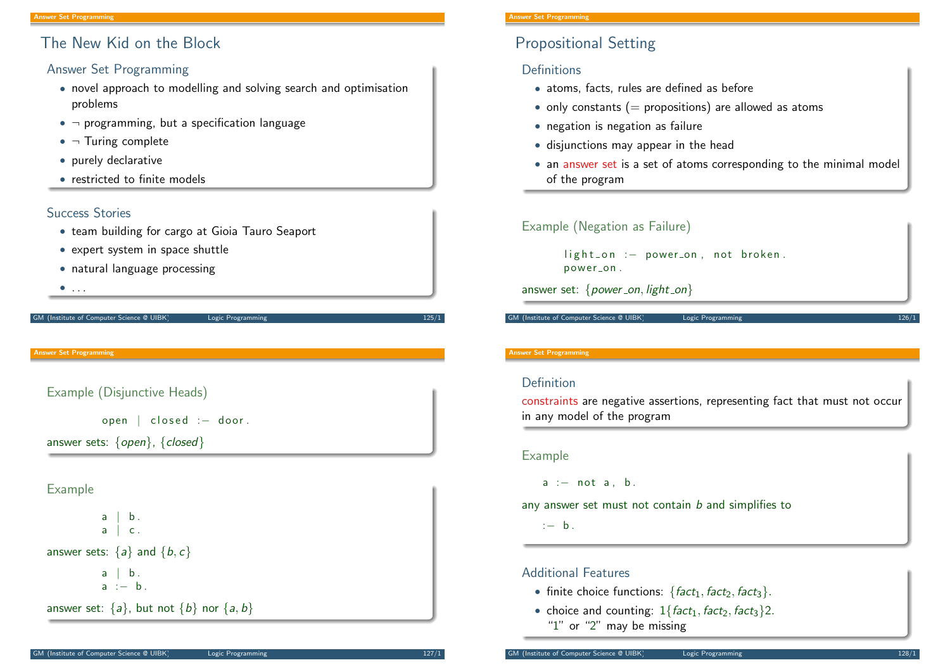# The New Kid on the Block

### Answer Set Programming

- novel approach to modelling and solving search and optimisation problems
- $\neg$  programming, but a specification language
- $\bullet$   $\neg$  Turing complete
- purely declarative
- restricted to finite models

### Success Stories

- team building for cargo at Gioia Tauro Seaport
- expert system in space shuttle
- natural language processing
- $\bullet$  . . . .

#### GM (Institute of Computer Science @ UIBK) Logic Programming 125/1

#### <span id="page-2-0"></span>Answer Set Programming

## Example (Disjunctive Heads)

open | closed : - door.

answer sets:  $\{open\}$ ,  $\{closed\}$ 

### Example

 $a \mid b$ .  $a \mid c$ . [answer set](http://peace.eas.asu.edu/aaai12tutorial)s:  $\{a\}$  and  $\{b, c\}$  $a \mid b$ . a :− b . answer set:  $\{a\}$ , but not  $\{b\}$  nor  $\{a, b\}$ 

#### Answer Set Programming

# Propositional Setting

## **Definitions**

- atoms, facts, rules are defined as before
- only constants ( $=$  propositions) are allowed as atoms
- negation is negation as failure
- disjunctions may appear in the head
- an answer set is a set of atoms corresponding to the minimal model of the program

### Example (Negation as Failure)

light\_on :- power\_on, not broken. power\_on.

answer set:  $\{power\_on, light\_on\}$ 

GM (Institute of Computer Science @ UIBK) Logic Programming

#### Answer Set Programming

### Definition

constraints are negative assertions, representing fact that must not occur in any model of the program

#### Example

 $a := not a, b.$ 

any answer set must not contain b and simplifies to

: $- b$ .

## Additional Features

- finite choice functions:  $\{fact_1, fact_2, fact_3\}.$
- choice and counting:  $1\{fact_1, fact_2, fact_3\}$ 2. "1" or "2" may be missing